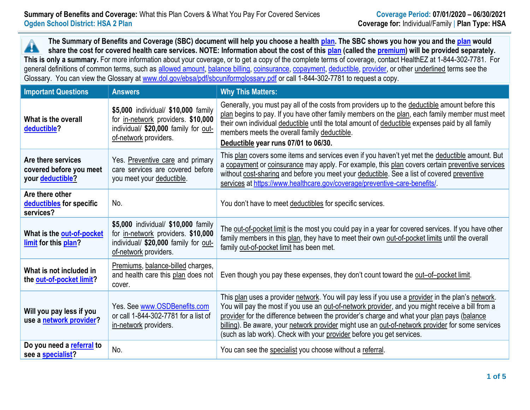**The Summary of Benefits and Coverage (SBC) document will help you choose a health [plan.](https://www.healthcare.gov/sbc-glossary/#plan) The SBC shows you how you and the [plan](https://www.healthcare.gov/sbc-glossary/#plan) would** Â **share the cost for covered health care services. NOTE: Information about the cost of this [plan](https://www.healthcare.gov/sbc-glossary/#plan) (called the [premium\)](https://www.healthcare.gov/sbc-glossary/#premium) will be provided separately. This is only a summary.** For more information about your coverage, or to get a copy of the complete terms of coverage, contact HealthEZ at 1-844-302-7781. For general definitions of common terms, such as [allowed amount,](https://www.healthcare.gov/sbc-glossary/#allowed-amount) [balance billing,](https://www.healthcare.gov/sbc-glossary/#balance-billing) [coinsurance,](https://www.healthcare.gov/sbc-glossary/#coinsurance) [copayment,](https://www.healthcare.gov/sbc-glossary/#copayment) [deductible,](https://www.healthcare.gov/sbc-glossary/#deductible) [provider,](https://www.healthcare.gov/sbc-glossary/#provider) or other underlined terms see the Glossary. You can view the Glossary at [www.dol.gov/ebsa/pdf/sbcuniformglossary.pdf](http://www.dol.gov/ebsa/pdf/sbcuniformglossary.pdf) or call 1-844-302-7781 to request a copy.

| <b>Important Questions</b>                                        | <b>Answers</b>                                                                                                                             | <b>Why This Matters:</b>                                                                                                                                                                                                                                                                                                                                                                                                                                                         |
|-------------------------------------------------------------------|--------------------------------------------------------------------------------------------------------------------------------------------|----------------------------------------------------------------------------------------------------------------------------------------------------------------------------------------------------------------------------------------------------------------------------------------------------------------------------------------------------------------------------------------------------------------------------------------------------------------------------------|
| What is the overall<br>deductible?                                | \$5,000 individual/ \$10,000 family<br>for in-network providers. \$10,000<br>individual/ \$20,000 family for out-<br>of-network providers. | Generally, you must pay all of the costs from providers up to the deductible amount before this<br>plan begins to pay. If you have other family members on the plan, each family member must meet<br>their own individual deductible until the total amount of deductible expenses paid by all family<br>members meets the overall family deductible.<br>Deductible year runs 07/01 to 06/30.                                                                                    |
| Are there services<br>covered before you meet<br>your deductible? | Yes. Preventive care and primary<br>care services are covered before<br>you meet your deductible.                                          | This plan covers some items and services even if you haven't yet met the deductible amount. But<br>a copayment or coinsurance may apply. For example, this plan covers certain preventive services<br>without cost-sharing and before you meet your deductible. See a list of covered preventive<br>services at https://www.healthcare.gov/coverage/preventive-care-benefits/                                                                                                    |
| Are there other<br>deductibles for specific<br>services?          | No.                                                                                                                                        | You don't have to meet deductibles for specific services.                                                                                                                                                                                                                                                                                                                                                                                                                        |
| What is the out-of-pocket<br>limit for this plan?                 | \$5,000 individual/ \$10,000 family<br>for in-network providers. \$10,000<br>individual/ \$20,000 family for out-<br>of-network providers. | The out-of-pocket limit is the most you could pay in a year for covered services. If you have other<br>family members in this plan, they have to meet their own out-of-pocket limits until the overall<br>family out-of-pocket limit has been met.                                                                                                                                                                                                                               |
| What is not included in<br>the out-of-pocket limit?               | Premiums, balance-billed charges,<br>and health care this plan does not<br>cover.                                                          | Even though you pay these expenses, they don't count toward the out-of-pocket limit.                                                                                                                                                                                                                                                                                                                                                                                             |
| Will you pay less if you<br>use a network provider?               | Yes. See www.OSDBenefits.com<br>or call 1-844-302-7781 for a list of<br>in-network providers.                                              | This plan uses a provider network. You will pay less if you use a provider in the plan's network.<br>You will pay the most if you use an out-of-network provider, and you might receive a bill from a<br>provider for the difference between the provider's charge and what your plan pays (balance<br>billing). Be aware, your network provider might use an out-of-network provider for some services<br>(such as lab work). Check with your provider before you get services. |
| Do you need a referral to<br>see a specialist?                    | No.                                                                                                                                        | You can see the specialist you choose without a referral.                                                                                                                                                                                                                                                                                                                                                                                                                        |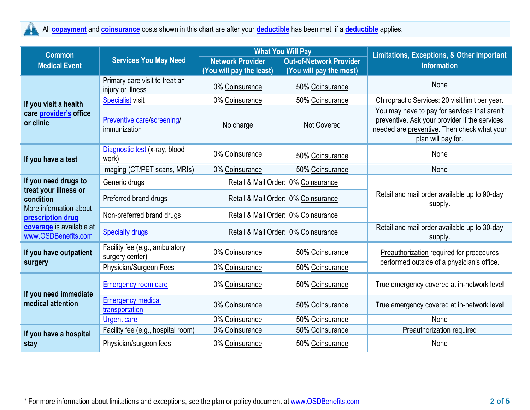

All **[copayment](https://www.healthcare.gov/sbc-glossary/#copayment)** and **[coinsurance](https://www.healthcare.gov/sbc-glossary/#coinsurance)** costs shown in this chart are after your **[deductible](https://www.healthcare.gov/sbc-glossary/#deductible)** has been met, if a **[deductible](https://www.healthcare.gov/sbc-glossary/#deductible)** applies.

| <b>Common</b>                                                                     | <b>Services You May Need</b>                        |                                                     | <b>What You Will Pay</b>                                  | Limitations, Exceptions, & Other Important                                                                                                                         |  |
|-----------------------------------------------------------------------------------|-----------------------------------------------------|-----------------------------------------------------|-----------------------------------------------------------|--------------------------------------------------------------------------------------------------------------------------------------------------------------------|--|
| <b>Medical Event</b>                                                              |                                                     | <b>Network Provider</b><br>(You will pay the least) | <b>Out-of-Network Provider</b><br>(You will pay the most) | <b>Information</b>                                                                                                                                                 |  |
| If you visit a health<br>care provider's office<br>or clinic                      | Primary care visit to treat an<br>injury or illness | 0% Coinsurance                                      | 50% Coinsurance                                           | None                                                                                                                                                               |  |
|                                                                                   | <b>Specialist visit</b>                             | 0% Coinsurance                                      | 50% Coinsurance                                           | Chiropractic Services: 20 visit limit per year.                                                                                                                    |  |
|                                                                                   | Preventive care/screening/<br>immunization          | No charge                                           | <b>Not Covered</b>                                        | You may have to pay for services that aren't<br>preventive. Ask your provider if the services<br>needed are preventive. Then check what your<br>plan will pay for. |  |
| If you have a test                                                                | Diagnostic test (x-ray, blood<br>work)              | 0% Coinsurance                                      | 50% Coinsurance                                           | None                                                                                                                                                               |  |
|                                                                                   | Imaging (CT/PET scans, MRIs)                        | 0% Coinsurance                                      | 50% Coinsurance                                           | None                                                                                                                                                               |  |
| If you need drugs to                                                              | Generic drugs                                       | Retail & Mail Order: 0% Coinsurance                 |                                                           |                                                                                                                                                                    |  |
| treat your illness or<br>condition<br>More information about<br>prescription drug | Preferred brand drugs                               |                                                     | Retail & Mail Order: 0% Coinsurance                       | Retail and mail order available up to 90-day<br>supply.                                                                                                            |  |
|                                                                                   | Non-preferred brand drugs                           |                                                     | Retail & Mail Order: 0% Coinsurance                       |                                                                                                                                                                    |  |
| coverage is available at<br>www.OSDBenefits.com                                   | <b>Specialty drugs</b>                              | Retail & Mail Order: 0% Coinsurance                 |                                                           | Retail and mail order available up to 30-day<br>supply.                                                                                                            |  |
| If you have outpatient<br>surgery                                                 | Facility fee (e.g., ambulatory<br>surgery center)   | 0% Coinsurance                                      | 50% Coinsurance                                           | Preauthorization required for procedures<br>performed outside of a physician's office.                                                                             |  |
|                                                                                   | Physician/Surgeon Fees                              | 0% Coinsurance                                      | 50% Coinsurance                                           |                                                                                                                                                                    |  |
| If you need immediate<br>medical attention                                        | <b>Emergency room care</b>                          | 0% Coinsurance                                      | 50% Coinsurance                                           | True emergency covered at in-network level                                                                                                                         |  |
|                                                                                   | <b>Emergency medical</b><br>transportation          | 0% Coinsurance                                      | 50% Coinsurance                                           | True emergency covered at in-network level                                                                                                                         |  |
|                                                                                   | <b>Urgent care</b>                                  | 0% Coinsurance                                      | 50% Coinsurance                                           | None                                                                                                                                                               |  |
| If you have a hospital<br>stay                                                    | Facility fee (e.g., hospital room)                  | 0% Coinsurance                                      | 50% Coinsurance                                           | <b>Preauthorization</b> required                                                                                                                                   |  |
|                                                                                   | Physician/surgeon fees                              | 0% Coinsurance                                      | 50% Coinsurance                                           | None                                                                                                                                                               |  |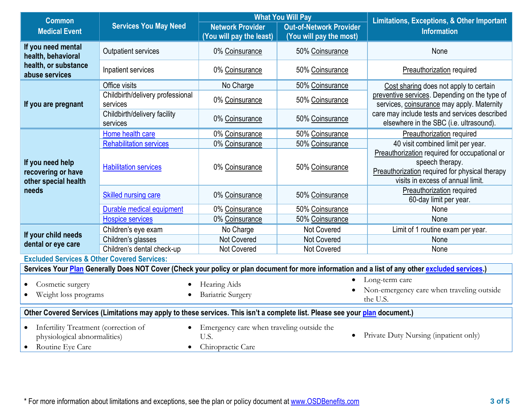| <b>Common</b>                                                                                                                                    | <b>Services You May Need</b>                 | <b>What You Will Pay</b>                            |                                | <b>Limitations, Exceptions, &amp; Other Important</b>                                                                                                   |  |  |  |
|--------------------------------------------------------------------------------------------------------------------------------------------------|----------------------------------------------|-----------------------------------------------------|--------------------------------|---------------------------------------------------------------------------------------------------------------------------------------------------------|--|--|--|
| <b>Medical Event</b>                                                                                                                             |                                              | <b>Network Provider</b><br>(You will pay the least) | <b>Out-of-Network Provider</b> | <b>Information</b>                                                                                                                                      |  |  |  |
| If you need mental                                                                                                                               |                                              |                                                     | (You will pay the most)        |                                                                                                                                                         |  |  |  |
| health, behavioral<br>health, or substance<br>abuse services                                                                                     | <b>Outpatient services</b>                   | 0% Coinsurance                                      | 50% Coinsurance                | None                                                                                                                                                    |  |  |  |
|                                                                                                                                                  | Inpatient services                           | 0% Coinsurance                                      | 50% Coinsurance                | <b>Preauthorization required</b>                                                                                                                        |  |  |  |
| If you are pregnant                                                                                                                              | Office visits                                | No Charge                                           | 50% Coinsurance                | Cost sharing does not apply to certain                                                                                                                  |  |  |  |
|                                                                                                                                                  | Childbirth/delivery professional<br>services | 0% Coinsurance                                      | 50% Coinsurance                | preventive services. Depending on the type of<br>services, coinsurance may apply. Maternity                                                             |  |  |  |
|                                                                                                                                                  | Childbirth/delivery facility<br>services     | 0% Coinsurance                                      | 50% Coinsurance                | care may include tests and services described<br>elsewhere in the SBC (i.e. ultrasound).                                                                |  |  |  |
|                                                                                                                                                  | Home health care                             | 0% Coinsurance                                      | 50% Coinsurance                | Preauthorization required                                                                                                                               |  |  |  |
|                                                                                                                                                  | <b>Rehabilitation services</b>               | 0% Coinsurance                                      | 50% Coinsurance                | 40 visit combined limit per year.                                                                                                                       |  |  |  |
| If you need help<br>recovering or have<br>other special health<br>needs                                                                          | <b>Habilitation services</b>                 | 0% Coinsurance                                      | 50% Coinsurance                | Preauthorization required for occupational or<br>speech therapy.<br>Preauthorization required for physical therapy<br>visits in excess of annual limit. |  |  |  |
|                                                                                                                                                  | Skilled nursing care                         | 0% Coinsurance                                      | 50% Coinsurance                | Preauthorization required<br>60-day limit per year.                                                                                                     |  |  |  |
|                                                                                                                                                  | Durable medical equipment                    | 0% Coinsurance                                      | 50% Coinsurance                | None                                                                                                                                                    |  |  |  |
|                                                                                                                                                  | <b>Hospice services</b>                      | 0% Coinsurance                                      | 50% Coinsurance                | None                                                                                                                                                    |  |  |  |
| If your child needs                                                                                                                              | Children's eye exam                          | No Charge                                           | Not Covered                    | Limit of 1 routine exam per year.                                                                                                                       |  |  |  |
| dental or eye care                                                                                                                               | Children's glasses                           | Not Covered                                         | Not Covered                    | None                                                                                                                                                    |  |  |  |
|                                                                                                                                                  | Children's dental check-up                   | Not Covered                                         | Not Covered                    | None                                                                                                                                                    |  |  |  |
| <b>Excluded Services &amp; Other Covered Services:</b>                                                                                           |                                              |                                                     |                                |                                                                                                                                                         |  |  |  |
| Services Your Plan Generally Does NOT Cover (Check your policy or plan document for more information and a list of any other excluded services.) |                                              |                                                     |                                |                                                                                                                                                         |  |  |  |
| Cosmetic surgery                                                                                                                                 |                                              | Hearing Aids                                        |                                | Long-term care                                                                                                                                          |  |  |  |
| Weight loss programs                                                                                                                             |                                              | <b>Bariatric Surgery</b>                            |                                | Non-emergency care when traveling outside<br>the U.S.                                                                                                   |  |  |  |
| Other Covered Services (Limitations may apply to these services. This isn't a complete list. Please see your plan document.)                     |                                              |                                                     |                                |                                                                                                                                                         |  |  |  |
| Infertility Treatment (correction of<br>$\bullet$                                                                                                |                                              | Emergency care when traveling outside the           |                                |                                                                                                                                                         |  |  |  |
| physiological abnormalities)                                                                                                                     |                                              | Private Duty Nursing (inpatient only)<br>U.S.       |                                |                                                                                                                                                         |  |  |  |
| Routine Eye Care<br>$\bullet$                                                                                                                    |                                              | Chiropractic Care                                   |                                |                                                                                                                                                         |  |  |  |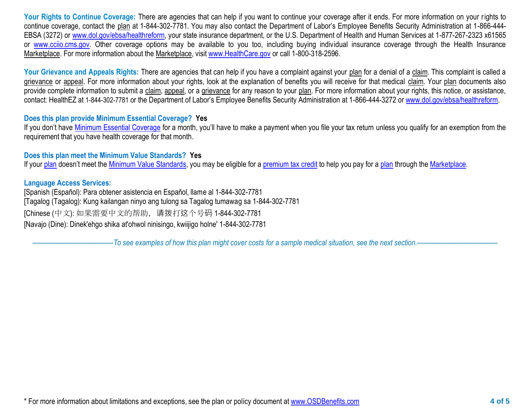Your Rights to Continue Coverage: There are agencies that can help if you want to continue your coverage after it ends. For more information on your rights to continue coverage, contact the plan at 1-844-302-7781. You may also contact the Department of Labor's Employee Benefits Security Administration at 1-866-444- EBSA (3272) or [www.dol.gov/ebsa/healthreform,](http://www.dol.gov/ebsa/healthreform) your state insurance department, or the U.S. Department of Health and Human Services at 1-877-267-2323 x61565 or [www.cciio.cms.gov.](http://www.cciio.cms.gov/) Other coverage options may be available to you too, including buying individual insurance coverage through the Health Insurance Marketplace. For more information about the Marketplace, visi[t www.HealthCare.gov](http://www.healthcare.gov/) or call 1-800-318-2596.

Your Grievance and Appeals Rights: There are agencies that can help if you have a complaint against your plan for a denial of a claim. This complaint is called a grievance or appeal. For more information about your rights, look at the explanation of benefits you will receive for that medical claim. Your plan documents also provide complete information to submit a claim, appeal, or a grievance for any reason to your plan. For more information about your rights, this notice, or assistance, contact: HealthEZ at 1-844-302-7781 or the Department of Labor's Employee Benefits Security Administration at 1-866-444-3272 or [www.dol.gov/ebsa/healthreform.](http://www.dol.gov/ebsa/healthreform)

## **Does this plan provide Minimum Essential Coverage? Yes**

If you don't have [Minimum Essential Coverage](https://www.healthcare.gov/sbc-glossary/#minimum-essential-coverage) for a month, you'll have to make a payment when you file your tax return unless you qualify for an exemption from the requirement that you have health coverage for that month.

## **Does this plan meet the Minimum Value Standards? Yes**

If your [plan](https://www.healthcare.gov/sbc-glossary/#plan) doesn't meet the [Minimum Value Standards,](https://www.healthcare.gov/sbc-glossary/#minimum-value-standard) you may be eligible for a [premium tax credit](https://www.healthcare.gov/sbc-glossary/#premium-tax-credits) to help you pay for a plan through the [Marketplace.](https://www.healthcare.gov/sbc-glossary/#marketplace)

## **Language Access Services:**

[Spanish (Español): Para obtener asistencia en Español, llame al 1-844-302-7781 [Tagalog (Tagalog): Kung kailangan ninyo ang tulong sa Tagalog tumawag sa 1-844-302-7781 [Chinese (中文): 如果需要中文的帮助,请拨打这个号码 1-844-302-7781 [Navajo (Dine): Dinek'ehgo shika at'ohwol ninisingo, kwiijigo holne' 1-844-302-7781

––––––––––––––––––––––*To see examples of how this plan might cover costs for a sample medical situation, see the next section.–––––––––––*–––––––––––